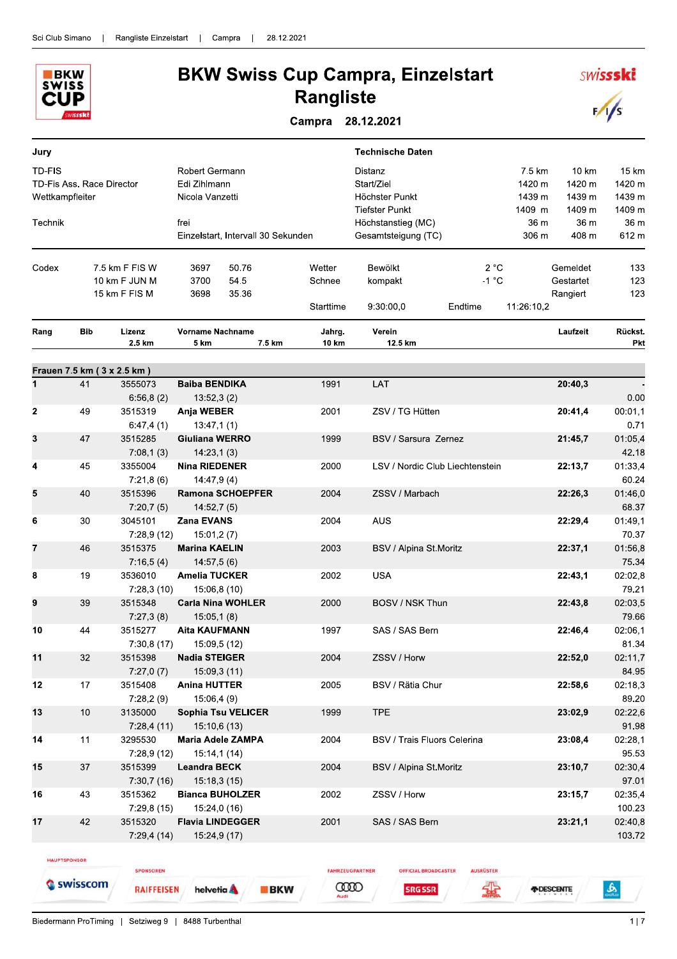

## **BKW Swiss Cup Campra, Einzelstart Rangliste**

Campra 28.12.2021

| Jury        |                                              |                       |                                                   |        |                 | <b>Technische Daten</b>                                                                |                                                 |                                      |                                     |                                     |
|-------------|----------------------------------------------|-----------------------|---------------------------------------------------|--------|-----------------|----------------------------------------------------------------------------------------|-------------------------------------------------|--------------------------------------|-------------------------------------|-------------------------------------|
| TD-FIS      | TD-Fis Ass. Race Director<br>Wettkampfleiter |                       | Robert Germann<br>Edi Zihlmann<br>Nicola Vanzetti |        |                 | Distanz<br>Start/Ziel<br>Höchster Punkt<br><b>Tiefster Punkt</b><br>Höchstanstieg (MC) |                                                 | 7.5 km<br>1420 m<br>1439 m<br>1409 m | 10 km<br>1420 m<br>1439 m<br>1409 m | 15 km<br>1420 m<br>1439 m<br>1409 m |
| Technik     |                                              |                       | frei<br>Einzelstart, Intervall 30 Sekunden        |        |                 | Gesamtsteigung (TC)                                                                    |                                                 | 36 m<br>306 m                        | 36 m<br>408 m                       | 36 m<br>612 m                       |
| Codex       |                                              | 7.5 km F FIS W        | 50.76<br>3697                                     |        | Wetter          | Bewölkt                                                                                | 2 °C                                            |                                      | Gemeldet                            | 133                                 |
|             |                                              | 10 km F JUN M         | 3700<br>54.5                                      |        | Schnee          | kompakt                                                                                | $-1$ °C                                         |                                      | Gestartet                           | 123                                 |
|             |                                              | 15 km F FIS M         | 35.36<br>3698                                     |        | Starttime       | 9:30:00.0                                                                              | Endtime                                         | 11:26:10,2                           | Rangiert                            | 123                                 |
| Rang        | <b>Bib</b>                                   | Lizenz<br>2.5 km      | <b>Vorname Nachname</b><br>5 km                   | 7.5 km | Jahrg.<br>10 km | Verein<br>12.5 km                                                                      |                                                 |                                      | Laufzeit                            | Rückst.<br>Pkt                      |
|             | Frauen 7.5 km (3 x 2.5 km)                   |                       |                                                   |        |                 |                                                                                        |                                                 |                                      |                                     |                                     |
| 1           | 41                                           | 3555073               | <b>Baiba BENDIKA</b>                              |        | 1991            | LAT                                                                                    |                                                 |                                      | 20:40,3                             |                                     |
|             |                                              | 6:56,8(2)             | 13:52,3(2)                                        |        |                 |                                                                                        |                                                 |                                      |                                     | 0.00                                |
| $\mathbf 2$ | 49                                           | 3515319<br>6:47,4(1)  | Anja WEBER<br>13:47,1(1)                          |        | 2001            | ZSV / TG Hütten                                                                        |                                                 |                                      | 20:41,4                             | 00:01,1<br>0.71                     |
| 3           | 47                                           | 3515285<br>7:08,1(3)  | Giuliana WERRO<br>14:23,1(3)                      |        | 1999            |                                                                                        | BSV / Sarsura Zernez                            |                                      | 21:45,7                             | 01:05,4<br>42.18                    |
| 4           | 45                                           | 3355004<br>7:21,8(6)  | <b>Nina RIEDENER</b><br>14:47,9(4)                |        | 2000            |                                                                                        | LSV / Nordic Club Liechtenstein                 |                                      | 22:13,7                             | 01:33,4<br>60.24                    |
| 5           | 40                                           | 3515396<br>7:20,7(5)  | <b>Ramona SCHOEPFER</b><br>14:52,7(5)             |        | 2004            | ZSSV / Marbach                                                                         |                                                 |                                      | 22:26,3                             | 01:46,0<br>68.37                    |
| 6           | 30                                           | 3045101<br>7:28,9(12) | <b>Zana EVANS</b><br>15:01,2(7)                   |        | 2004            | <b>AUS</b>                                                                             |                                                 |                                      | 22:29,4                             | 01:49,1<br>70.37                    |
| 7           | 46                                           | 3515375<br>7:16,5(4)  | <b>Marina KAELIN</b><br>14:57,5(6)                |        | 2003            | BSV / Alpina St.Moritz                                                                 |                                                 |                                      | 22:37,1                             | 01:56,8<br>75.34                    |
| 8           | 19                                           | 3536010<br>7:28,3(10) | <b>Amelia TUCKER</b><br>15:06,8 (10)              |        | 2002            | <b>USA</b>                                                                             |                                                 |                                      | 22:43,1                             | 02:02,8<br>79.21                    |
| 9           | 39                                           | 3515348<br>7:27,3(8)  | <b>Carla Nina WOHLER</b><br>15:05,1(8)            |        | 2000            | BOSV / NSK Thun                                                                        |                                                 |                                      | 22:43,8                             | 02:03,5<br>79.66                    |
| 10          | 44                                           | 3515277<br>7:30,8(17) | <b>Aita KAUFMANN</b><br>15:09,5 (12)              |        | 1997            | SAS / SAS Bern                                                                         |                                                 |                                      | 22:46,4                             | 02:06,1<br>81.34                    |
| 11          | 32                                           | 3515398<br>7:27,0(7)  | <b>Nadia STEIGER</b><br>15:09,3 (11)              |        | 2004            | ZSSV / Horw                                                                            |                                                 |                                      | 22:52,0                             | 02:11,7<br>84.95                    |
| 12          | 17                                           | 3515408<br>7:28,2(9)  | <b>Anina HUTTER</b><br>15:06,4 (9)                |        | 2005            | BSV / Rätia Chur                                                                       |                                                 |                                      | 22:58,6                             | 02:18,3<br>89.20                    |
| 13          | 10                                           | 3135000<br>7:28,4(11) | <b>Sophia Tsu VELICER</b><br>15:10,6 (13)         |        | 1999            | <b>TPE</b>                                                                             |                                                 |                                      | 23:02,9                             | 02:22,6<br>91.98                    |
| 14          | 11                                           | 3295530<br>7:28,9(12) | <b>Maria Adele ZAMPA</b><br>15:14,1(14)           |        | 2004            |                                                                                        | <b>BSV / Trais Fluors Celerina</b>              |                                      | 23:08,4                             | 02:28,1<br>95.53                    |
| 15          | 37                                           | 3515399<br>7:30,7(16) | <b>Leandra BECK</b><br>15:18.3(15)                |        | 2004            | BSV / Alpina St.Moritz                                                                 |                                                 |                                      | 23:10,7                             | 02:30,4<br>97.01                    |
| 16          | 43                                           | 3515362<br>7:29,8(15) | <b>Bianca BUHOLZER</b><br>15:24,0 (16)            |        | 2002            | ZSSV / Horw                                                                            |                                                 |                                      | 23:15,7                             | 02:35,4<br>100.23                   |
| 17          | 42                                           | 3515320<br>7:29,4(14) | <b>Flavia LINDEGGER</b><br>15:24,9 (17)           |        | 2001            | SAS / SAS Bern                                                                         |                                                 |                                      | 23:21,1                             | 02:40,8<br>103.72                   |
|             | <b>HAUPTSPONSOR</b>                          | <b>SPONSOREN</b>      |                                                   |        |                 | <b>FAHRZEUGPARTNER</b>                                                                 | <b>OFFICIAL BROADCASTER</b><br><b>AUSRÜSTER</b> |                                      |                                     |                                     |

**CODO** 

Biedermann ProTiming | Setziweg 9 | 8488 Turbenthal

**RAIFFEISEN** 

helvetia **A** 

**BKW** 

Swisscom

 $\mathbf{r}$ 

*FIDESCENTE* 

编

**SRG SSR** 

**SWISSSKi** 

 $\sqrt{s}$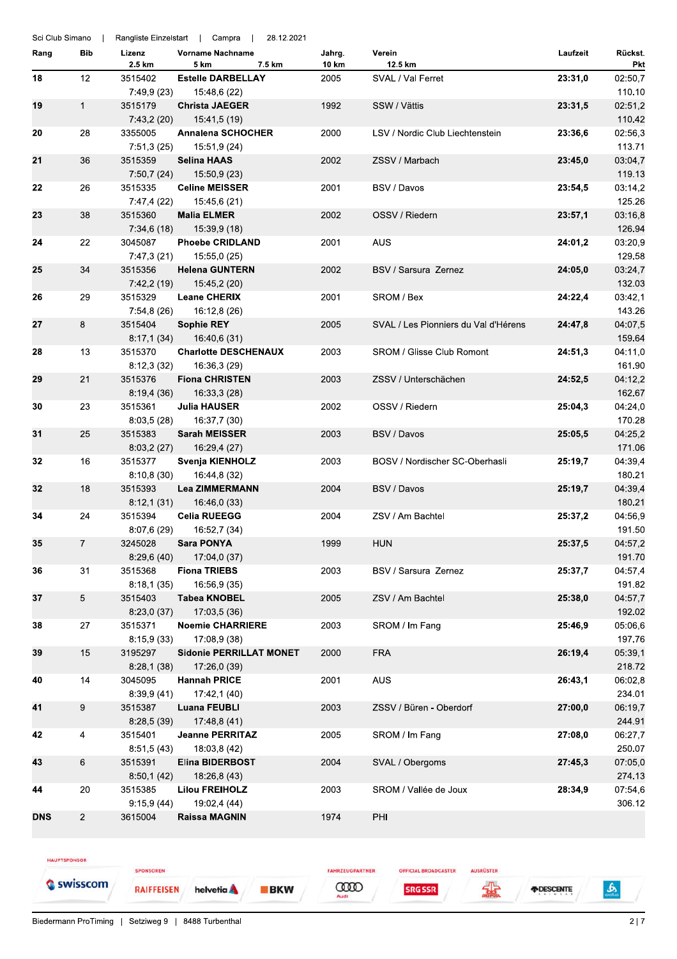| Sci Club Simano |                |                       | Rangliste Einzelstart   Campra  <br>28.12.2021 |                 |                                      |          |                       |
|-----------------|----------------|-----------------------|------------------------------------------------|-----------------|--------------------------------------|----------|-----------------------|
| Rang            | Bib            | Lizenz<br>2.5 km      | Vorname Nachname<br>7.5 km<br>5 km             | Jahrg.<br>10 km | Verein<br>12.5 km                    | Laufzeit | Rückst.<br><b>Pkt</b> |
| 18              | 12             | 3515402               | <b>Estelle DARBELLAY</b>                       | 2005            | SVAL / Val Ferret                    | 23:31,0  | 02:50,7               |
|                 |                | 7:49,9 (23)           | 15:48,6 (22)                                   |                 |                                      |          | 110.10                |
| 19              | $\mathbf{1}$   | 3515179               | <b>Christa JAEGER</b>                          | 1992            | SSW / Vättis                         | 23:31,5  | 02:51,2               |
|                 |                | 7:43,2(20)            | 15:41,5 (19)                                   |                 |                                      |          | 110.42                |
| 20              | 28             | 3355005               | <b>Annalena SCHOCHER</b>                       | 2000            | LSV / Nordic Club Liechtenstein      | 23:36,6  | 02:56,3               |
|                 |                | 7:51,3(25)            | 15:51,9 (24)                                   |                 |                                      |          | 113.71                |
| 21              | 36             | 3515359<br>7:50,7(24) | <b>Selina HAAS</b><br>15:50,9 (23)             | 2002            | ZSSV / Marbach                       | 23:45,0  | 03:04,7<br>119.13     |
| 22              | 26             | 3515335               | <b>Celine MEISSER</b>                          | 2001            | BSV / Davos                          | 23:54,5  | 03:14,2               |
|                 |                | 7:47,4 (22)           | 15:45,6 (21)                                   |                 |                                      |          | 125.26                |
| 23              | 38             | 3515360               | <b>Malia ELMER</b>                             | 2002            | OSSV / Riedern                       | 23:57,1  | 03:16,8               |
|                 |                | 7:34,6(18)            | 15:39,9 (18)                                   |                 |                                      |          | 126.94                |
| 24              | 22             | 3045087               | <b>Phoebe CRIDLAND</b>                         | 2001            | <b>AUS</b>                           | 24:01,2  | 03:20,9               |
|                 |                | 7:47,3 (21)           | 15:55,0 (25)                                   |                 |                                      |          | 129.58                |
| 25              | 34             | 3515356               | <b>Helena GUNTERN</b>                          | 2002            | BSV / Sarsura Zernez                 | 24:05,0  | 03:24,7               |
|                 |                | 7:42,2 (19)           | 15:45,2 (20)                                   |                 |                                      |          | 132.03                |
| 26              | 29             | 3515329               | <b>Leane CHERIX</b>                            | 2001            | SROM / Bex                           | 24:22,4  | 03:42,1               |
|                 |                | 7:54,8 (26)           | 16:12,8 (26)                                   |                 |                                      |          | 143.26                |
| 27              | 8              | 3515404               | <b>Sophie REY</b>                              | 2005            | SVAL / Les Pionniers du Val d'Hérens | 24:47,8  | 04:07,5               |
|                 |                | 8:17,1(34)            | 16:40,6 (31)                                   |                 |                                      |          | 159.64                |
| 28              | 13             | 3515370               | <b>Charlotte DESCHENAUX</b>                    | 2003            | <b>SROM / Glisse Club Romont</b>     | 24:51,3  | 04:11,0               |
|                 |                | 8:12,3(32)            | 16:36,3 (29)                                   |                 |                                      |          | 161.90                |
| 29              | 21             | 3515376               | <b>Fiona CHRISTEN</b>                          | 2003            | ZSSV / Unterschächen                 | 24:52,5  | 04:12,2               |
|                 |                | 8:19,4(36)            | 16:33,3 (28)                                   |                 |                                      |          | 162.67                |
| 30              | 23             | 3515361               | <b>Julia HAUSER</b>                            | 2002            | OSSV / Riedern                       | 25:04,3  | 04:24,0               |
|                 |                | 8:03,5(28)            | 16:37,7 (30)                                   |                 |                                      |          | 170.28                |
| 31              | 25             | 3515383               | <b>Sarah MEISSER</b>                           | 2003            | BSV / Davos                          | 25:05,5  | 04:25,2               |
|                 |                | 8:03,2(27)            | 16:29,4 (27)                                   |                 |                                      |          | 171.06                |
| 32              | 16             | 3515377               | Svenja KIENHOLZ                                | 2003            | BOSV / Nordischer SC-Oberhasli       | 25:19,7  | 04:39,4               |
|                 |                | 8:10,8(30)            | 16:44,8 (32)                                   |                 |                                      |          | 180.21                |
| 32              | 18             | 3515393               | <b>Lea ZIMMERMANN</b>                          | 2004            | BSV / Davos                          | 25:19,7  | 04:39,4               |
|                 |                | 8:12,1(31)            | 16:46,0 (33)                                   |                 |                                      |          | 180.21                |
| 34              | 24             | 3515394               | <b>Celia RUEEGG</b>                            | 2004            | ZSV / Am Bachtel                     | 25:37,2  | 04:56,9               |
|                 |                | 8:07,6(29)            | 16:52,7 (34)                                   |                 |                                      |          | 191.50                |
| 35              | 7              | 3245028               | <b>Sara PONYA</b>                              | 1999            | <b>HUN</b>                           | 25:37,5  | 04:57,2               |
|                 |                | 8:29,6(40)            | 17:04,0 (37)                                   |                 |                                      |          | 191.70                |
| 36              | 31             | 3515368               | <b>Fiona TRIEBS</b>                            | 2003            | BSV / Sarsura Zernez                 | 25:37,7  | 04:57,4               |
|                 |                | 8:18,1(35)            | 16:56,9 (35)                                   |                 |                                      |          | 191.82                |
| 37              | 5              | 3515403               | <b>Tabea KNOBEL</b>                            | 2005            | ZSV / Am Bachtel                     | 25:38,0  | 04:57,7               |
|                 |                | 8:23,0(37)            | 17:03,5 (36)                                   |                 |                                      |          | 192.02                |
| 38              | 27             | 3515371               | <b>Noemie CHARRIERE</b>                        | 2003            | SROM / Im Fang                       | 25:46,9  | 05:06,6               |
|                 |                | 8:15,9(33)            | 17:08,9 (38)                                   |                 |                                      |          | 197.76                |
| 39              | 15             | 3195297               | <b>Sidonie PERRILLAT MONET</b>                 | 2000            | <b>FRA</b>                           | 26:19,4  | 05:39,1               |
|                 |                | 8:28,1(38)            | 17:26,0 (39)                                   |                 |                                      |          | 218.72                |
| 40              | 14             | 3045095               | <b>Hannah PRICE</b>                            | 2001            | AUS                                  | 26:43,1  | 06:02,8               |
|                 |                | 8:39,9(41)            | 17:42,1 (40)                                   |                 |                                      |          | 234.01                |
| 41              | 9              | 3515387               | <b>Luana FEUBLI</b>                            | 2003            | ZSSV / Buren - Oberdorf              | 27:00,0  | 06:19,7               |
|                 |                | 8:28,5(39)            | 17:48,8 (41)                                   |                 |                                      |          | 244.91                |
| 42              | 4              | 3515401               | <b>Jeanne PERRITAZ</b>                         | 2005            | SROM / Im Fang                       | 27:08,0  | 06:27,7               |
|                 |                | 8:51,5(43)            | 18:03,8 (42)                                   |                 |                                      |          | 250.07                |
| 43              | 6              | 3515391               | <b>Elina BIDERBOST</b>                         | 2004            | SVAL / Obergoms                      | 27:45,3  | 07:05,0               |
|                 |                | 8:50,1(42)            | 18:26,8 (43)                                   |                 |                                      |          | 274.13                |
| 44              | 20             | 3515385               | <b>Lilou FREIHOLZ</b>                          | 2003            | SROM / Vallée de Joux                | 28:34,9  | 07:54,6               |
|                 |                | 9:15,9(44)            | 19:02,4 (44)                                   |                 |                                      |          | 306.12                |
| <b>DNS</b>      | $\overline{2}$ | 3615004               | <b>Raissa MAGNIN</b>                           | 1974            | PHI                                  |          |                       |
|                 |                |                       |                                                |                 |                                      |          |                       |

HAUPTSPONSOR

SPONSOREN Swisscom **RAIFFEISEN** 

**BKW** 

helvetia A

**OFFICIAL BROADCASTER SRG SSR** 

FAHRZEUGPARTNER

**COOD** 

AUSRÜSTER 霏

*FDESCENTE* 

 $\frac{1}{2}$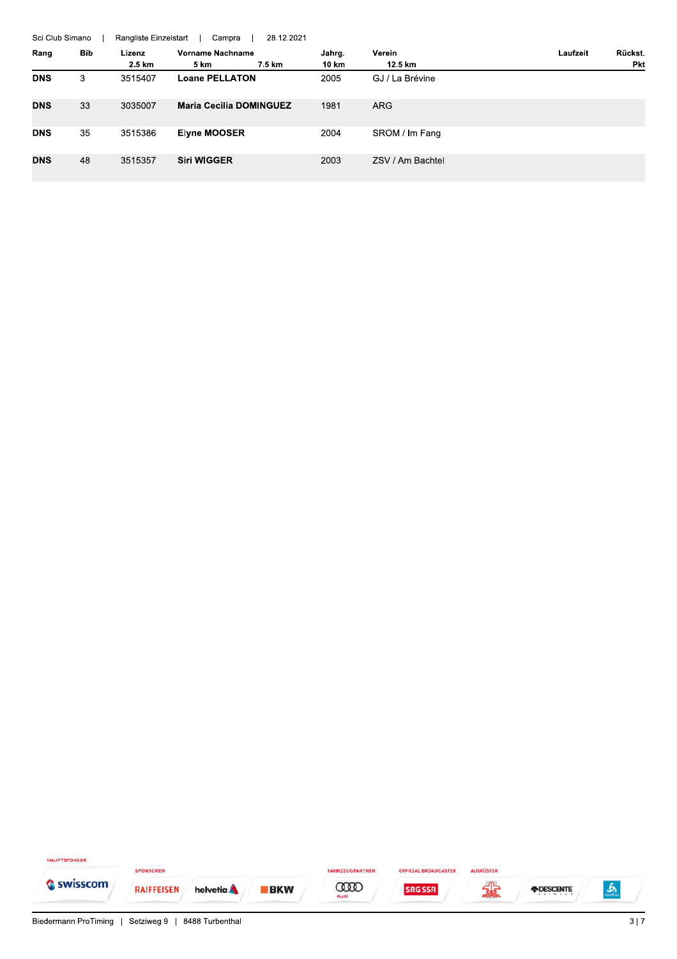|            | 28.12.2021<br>Sci Club Simano<br>Rangliste Einzelstart<br>Campra |         |                                |        |                  |          |         |  |  |
|------------|------------------------------------------------------------------|---------|--------------------------------|--------|------------------|----------|---------|--|--|
| Rang       | Bib                                                              | Lizenz  | Vorname Nachname               | Jahrg. | Verein           | Laufzeit | Rückst. |  |  |
|            |                                                                  | 2.5 km  | 5 km<br>7.5 km                 | 10 km  | 12.5 km          |          | Pkt     |  |  |
| <b>DNS</b> | 3                                                                | 3515407 | <b>Loane PELLATON</b>          | 2005   | GJ / La Brévine  |          |         |  |  |
| <b>DNS</b> | 33                                                               | 3035007 | <b>Maria Cecilia DOMINGUEZ</b> | 1981   | <b>ARG</b>       |          |         |  |  |
| <b>DNS</b> | 35                                                               | 3515386 | <b>Elyne MOOSER</b>            | 2004   | SROM / Im Fang   |          |         |  |  |
| <b>DNS</b> | 48                                                               | 3515357 | <b>Siri WIGGER</b>             | 2003   | ZSV / Am Bachtel |          |         |  |  |

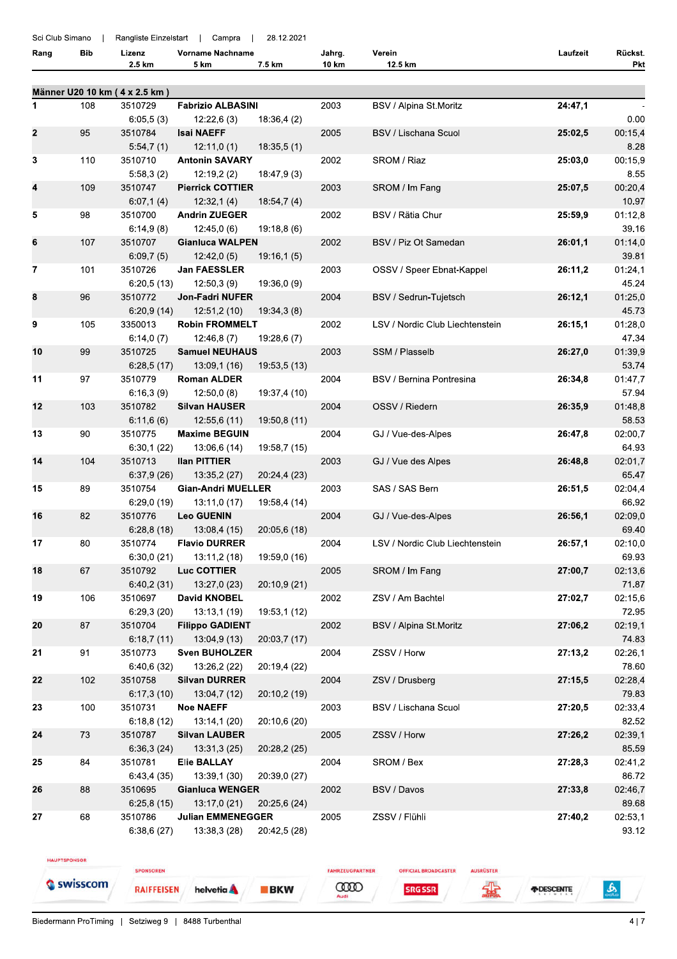| Sci Club Simano |     |                               | Rangliste Einzelstart   Campra       | 28.12.2021   |        |                                 |          |                  |
|-----------------|-----|-------------------------------|--------------------------------------|--------------|--------|---------------------------------|----------|------------------|
| Rang            | Bib | Lizenz                        | <b>Vorname Nachname</b>              |              | Jahrg. | Verein                          | Laufzeit | Rückst.          |
|                 |     | 2.5 km                        | 5 km                                 | 7.5 km       | 10 km  | 12.5 km                         |          | Pkt              |
|                 |     | Männer U20 10 km (4 x 2.5 km) |                                      |              |        |                                 |          |                  |
| 1               | 108 | 3510729                       | <b>Fabrizio ALBASINI</b>             |              | 2003   | BSV / Alpina St.Moritz          | 24:47,1  |                  |
|                 |     | 6:05,5(3)                     | 12:22,6(3)                           | 18:36,4(2)   |        |                                 |          | 0.00             |
| $\mathbf{2}$    | 95  | 3510784                       | <b>Isai NAEFF</b>                    |              | 2005   | <b>BSV / Lischana Scuol</b>     | 25:02,5  | 00:15,4          |
|                 |     | 5:54,7(1)                     | 12:11,0(1)                           | 18:35,5(1)   |        |                                 |          | 8.28             |
| 3               | 110 | 3510710                       | <b>Antonin SAVARY</b>                |              | 2002   | SROM / Riaz                     | 25:03,0  | 00:15,9          |
|                 |     | 5:58,3(2)                     | 12:19,2(2)                           | 18:47,9 (3)  |        |                                 |          | 8.55             |
| 4               | 109 | 3510747                       | <b>Pierrick COTTIER</b>              |              | 2003   | SROM / Im Fang                  | 25:07,5  | 00:20,4          |
|                 |     | 6:07,1(4)                     | 12:32,1(4)                           | 18:54,7(4)   |        |                                 |          | 10.97            |
| 5               | 98  | 3510700                       | <b>Andrin ZUEGER</b>                 |              | 2002   | BSV / Rätia Chur                | 25:59,9  | 01:12,8          |
|                 |     | 6:14,9(8)                     | 12:45,0(6)                           | 19:18,8(6)   |        |                                 |          | 39.16            |
| 6               | 107 | 3510707<br>6:09,7(5)          | <b>Gianluca WALPEN</b><br>12:42,0(5) | 19:16,1(5)   | 2002   | BSV / Piz Ot Samedan            | 26:01,1  | 01:14,0<br>39.81 |
| 7               | 101 | 3510726                       | <b>Jan FAESSLER</b>                  |              | 2003   | OSSV / Speer Ebnat-Kappel       | 26:11,2  | 01:24,1          |
|                 |     | 6:20,5(13)                    | 12:50,3(9)                           | 19:36,0 (9)  |        |                                 |          | 45.24            |
| 8               | 96  | 3510772                       | <b>Jon-Fadri NUFER</b>               |              | 2004   | BSV / Sedrun-Tujetsch           | 26:12,1  | 01:25,0          |
|                 |     | 6:20,9(14)                    | 12:51,2 (10)                         | 19:34,3(8)   |        |                                 |          | 45.73            |
| 9               | 105 | 3350013                       | <b>Robin FROMMELT</b>                |              | 2002   | LSV / Nordic Club Liechtenstein | 26:15,1  | 01:28,0          |
|                 |     | 6:14,0(7)                     | 12:46,8(7)                           | 19:28,6 (7)  |        |                                 |          | 47.34            |
| 10              | 99  | 3510725                       | <b>Samuel NEUHAUS</b>                |              | 2003   | SSM / Plasselb                  | 26:27,0  | 01:39,9          |
|                 |     | 6:28,5(17)                    | 13:09,1 (16)                         | 19:53,5 (13) |        |                                 |          | 53.74            |
| 11              | 97  | 3510779                       | <b>Roman ALDER</b>                   |              | 2004   | BSV / Bernina Pontresina        | 26:34,8  | 01:47,7          |
|                 |     | 6:16,3(9)                     | 12:50,0(8)                           | 19:37,4 (10) |        |                                 |          | 57.94            |
| 12              | 103 | 3510782                       | <b>Silvan HAUSER</b>                 |              | 2004   | OSSV / Riedern                  | 26:35,9  | 01:48,8          |
| 13              | 90  | 6:11,6(6)<br>3510775          | 12:55,6 (11)<br><b>Maxime BEGUIN</b> | 19:50,8 (11) | 2004   | GJ / Vue-des-Alpes              | 26:47,8  | 58.53<br>02:00,7 |
|                 |     | 6:30,1(22)                    | 13:06,6 (14)                         | 19:58,7 (15) |        |                                 |          | 64.93            |
| 14              | 104 | 3510713                       | <b>Ilan PITTIER</b>                  |              | 2003   | GJ / Vue des Alpes              | 26:48,8  | 02:01,7          |
|                 |     | 6:37,9(26)                    | 13:35,2 (27)                         | 20:24,4 (23) |        |                                 |          | 65.47            |
| 15              | 89  | 3510754                       | <b>Gian-Andri MUELLER</b>            |              | 2003   | SAS / SAS Bern                  | 26:51,5  | 02:04,4          |
|                 |     | 6:29,0(19)                    | 13:11,0 (17)                         | 19:58,4 (14) |        |                                 |          | 66.92            |
| 16              | 82  | 3510776                       | <b>Leo GUENIN</b>                    |              | 2004   | GJ / Vue-des-Alpes              | 26:56,1  | 02:09,0          |
|                 |     | 6:28,8(18)                    | 13:08,4 (15)                         | 20:05,6 (18) |        |                                 |          | 69.40            |
| 17              | 80  | 3510774                       | <b>Flavio DURRER</b>                 |              | 2004   | LSV / Nordic Club Liechtenstein | 26:57,1  | 02:10,0          |
|                 |     | 6:30,0(21)                    | 13:11,2 (18)                         | 19:59,0 (16) |        |                                 |          | 69.93            |
| 18              | 67  | 3510792                       | Luc COTTIER                          |              | 2005   | SROM / Im Fang                  | 27:00,7  | 02:13,6          |
| 19              | 106 | 6:40,2(31)<br>3510697         | 13:27,0 (23)<br><b>David KNOBEL</b>  | 20:10,9 (21) | 2002   | ZSV / Am Bachtel                | 27:02,7  | 71.87<br>02:15,6 |
|                 |     | 6:29.3(20)                    | 13:13,1(19)                          | 19:53,1 (12) |        |                                 |          | 72.95            |
| 20              | 87  | 3510704                       | <b>Filippo GADIENT</b>               |              | 2002   | BSV / Alpina St.Moritz          | 27:06,2  | 02:19.1          |
|                 |     | 6:18,7(11)                    | 13:04,9 (13)                         | 20:03,7 (17) |        |                                 |          | 74.83            |
| 21              | 91  | 3510773                       | <b>Sven BUHOLZER</b>                 |              | 2004   | ZSSV / Horw                     | 27:13,2  | 02:26,1          |
|                 |     | 6:40,6(32)                    | 13:26,2 (22)                         | 20:19,4 (22) |        |                                 |          | 78.60            |
| 22              | 102 | 3510758                       | <b>Silvan DURRER</b>                 |              | 2004   | ZSV / Drusberg                  | 27:15,5  | 02:28,4          |
|                 |     | 6:17,3(10)                    | 13:04,7 (12)                         | 20:10,2 (19) |        |                                 |          | 79.83            |
| 23              | 100 | 3510731                       | <b>Noe NAEFF</b>                     |              | 2003   | BSV / Lischana Scuol            | 27:20,5  | 02:33,4          |
|                 |     | 6:18,8(12)                    | 13:14,1(20)                          | 20:10,6 (20) |        |                                 |          | 82.52            |
| 24              | 73  | 3510787                       | <b>Silvan LAUBER</b>                 |              | 2005   | ZSSV / Horw                     | 27:26,2  | 02:39,1          |
|                 |     | 6:36,3(24)                    | 13:31,3(25)                          | 20:28,2 (25) |        |                                 |          | 85.59            |
| 25              | 84  | 3510781<br>6:43,4(35)         | <b>Elie BALLAY</b><br>13:39,1 (30)   | 20:39,0 (27) | 2004   | SROM / Bex                      | 27:28,3  | 02:41,2<br>86.72 |
| 26              | 88  | 3510695                       | <b>Gianluca WENGER</b>               |              | 2002   | BSV / Davos                     | 27:33,8  | 02:46,7          |
|                 |     | 6:25,8(15)                    | 13:17,0 (21)                         | 20:25,6 (24) |        |                                 |          | 89.68            |
| 27              | 68  | 3510786                       | <b>Julian EMMENEGGER</b>             |              | 2005   | ZSSV / Flühli                   | 27:40,2  | 02:53,1          |
|                 |     | 6:38,6(27)                    | 13:38,3 (28)                         | 20:42,5 (28) |        |                                 |          | 93.12            |
|                 |     |                               |                                      |              |        |                                 |          |                  |

HAUPTSPONSOR

Swisscom

**RAIFFEISEN** helvetia A FAHRZEUGPARTNER **OFFICIAL BROADCASTER SRG SSR** 

**COOD** 

**BKW** 

AUSRÜSTER

霏

*FDESCENTE* 

Biedermann ProTiming | Setziweg 9 | 8488 Turbenthal

SPONSOREN

 $\frac{1}{2}$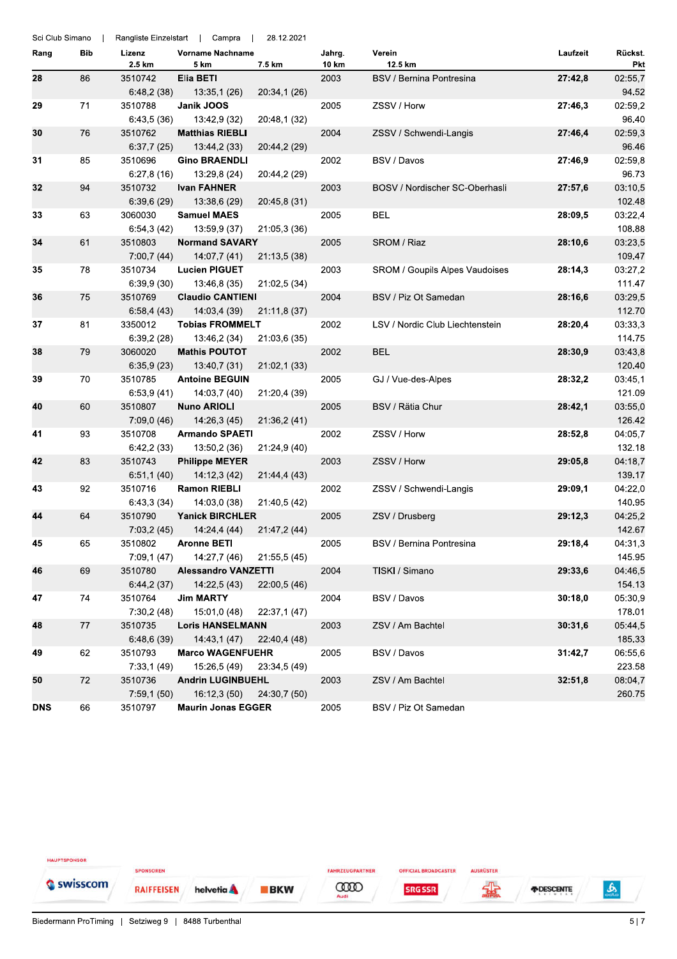| Sci Club Simano |     |                  | Rangliste Einzelstart   Campra  | 28.12.2021   |                 |                                       |          |                |
|-----------------|-----|------------------|---------------------------------|--------------|-----------------|---------------------------------------|----------|----------------|
| Rang            | Bib | Lizenz<br>2.5 km | <b>Vorname Nachname</b><br>5 km | 7.5 km       | Jahrg.<br>10 km | Verein<br>12.5 km                     | Laufzeit | Rückst.<br>Pkt |
| 28              | 86  | 3510742          | Elia BETI                       |              | 2003            | BSV / Bernina Pontresina              | 27:42,8  | 02:55,7        |
|                 |     | 6:48,2(38)       | 13:35,1 (26)                    | 20:34,1 (26) |                 |                                       |          | 94.52          |
| 29              | 71  | 3510788          | Janik JOOS                      |              | 2005            | ZSSV / Horw                           | 27:46,3  | 02:59,2        |
|                 |     | 6:43,5(36)       | 13:42,9 (32)                    | 20:48,1 (32) |                 |                                       |          | 96.40          |
| 30              | 76  | 3510762          | <b>Matthias RIEBLI</b>          |              | 2004            | ZSSV / Schwendi-Langis                | 27:46,4  | 02:59,3        |
|                 |     | 6:37,7(25)       | 13:44,2 (33)                    | 20:44,2 (29) |                 |                                       |          | 96.46          |
| 31              | 85  | 3510696          | <b>Gino BRAENDLI</b>            |              | 2002            | BSV / Davos                           | 27:46,9  | 02:59,8        |
|                 |     | 6:27,8(16)       | 13:29,8 (24)                    | 20:44,2 (29) |                 |                                       |          | 96.73          |
| 32              | 94  | 3510732          | <b>Ivan FAHNER</b>              |              | 2003            | BOSV / Nordischer SC-Oberhasli        | 27:57,6  | 03:10,5        |
|                 |     | 6:39,6(29)       | 13:38,6 (29)                    | 20:45,8 (31) |                 |                                       |          | 102.48         |
| 33              | 63  | 3060030          | <b>Samuel MAES</b>              |              | 2005            | BEL                                   | 28:09,5  | 03:22,4        |
|                 |     | 6:54,3(42)       | 13:59,9 (37)                    | 21:05,3 (36) |                 |                                       |          | 108.88         |
| 34              | 61  | 3510803          | <b>Normand SAVARY</b>           |              | 2005            | SROM / Riaz                           | 28:10,6  | 03:23,5        |
|                 |     | 7:00,7(44)       | 14:07,7 (41)                    | 21:13,5 (38) |                 |                                       |          | 109.47         |
| 35              | 78  | 3510734          | <b>Lucien PIGUET</b>            |              | 2003            | <b>SROM / Goupils Alpes Vaudoises</b> | 28:14,3  | 03:27,2        |
|                 |     | 6:39,9(30)       | 13:46,8 (35)                    | 21:02,5 (34) |                 |                                       |          | 111.47         |
| 36              | 75  | 3510769          | <b>Claudio CANTIENI</b>         |              | 2004            | BSV / Piz Ot Samedan                  | 28:16,6  | 03:29,5        |
|                 |     | 6:58,4(43)       | 14:03,4 (39)                    | 21:11,8 (37) |                 |                                       |          | 112.70         |
| 37              | 81  | 3350012          | <b>Tobias FROMMELT</b>          |              | 2002            | LSV / Nordic Club Liechtenstein       | 28:20,4  | 03:33,3        |
|                 |     | 6:39,2(28)       | 13:46,2 (34)                    | 21:03,6 (35) |                 |                                       |          | 114.75         |
| 38              | 79  | 3060020          | <b>Mathis POUTOT</b>            |              | 2002            | <b>BEL</b>                            | 28:30.9  | 03:43,8        |
|                 |     | 6:35,9(23)       | 13:40,7 (31)                    | 21:02,1 (33) |                 |                                       |          | 120.40         |
| 39              | 70  | 3510785          | <b>Antoine BEGUIN</b>           |              | 2005            | GJ / Vue-des-Alpes                    | 28:32,2  | 03:45,1        |
|                 |     | 6:53,9(41)       | 14:03,7 (40)                    | 21:20,4 (39) |                 |                                       |          | 121.09         |
| 40              | 60  | 3510807          | <b>Nuno ARIOLI</b>              |              | 2005            | BSV / Rätia Chur                      | 28:42,1  | 03:55,0        |
|                 |     | 7:09,0(46)       | 14:26,3 (45)                    | 21:36,2 (41) |                 |                                       |          | 126.42         |
| 41              | 93  | 3510708          | <b>Armando SPAETI</b>           |              | 2002            | ZSSV / Horw                           | 28:52,8  | 04:05,7        |
|                 |     | 6:42,2(33)       | 13:50,2 (36)                    | 21:24,9 (40) |                 |                                       |          | 132.18         |
| 42              | 83  | 3510743          | <b>Philippe MEYER</b>           |              | 2003            | ZSSV / Horw                           | 29:05,8  | 04:18,7        |
|                 |     | 6:51,1(40)       | 14:12,3 (42)                    | 21:44,4 (43) |                 |                                       |          | 139.17         |
| 43              | 92  | 3510716          | <b>Ramon RIEBLI</b>             |              | 2002            | ZSSV / Schwendi-Langis                | 29:09,1  | 04:22,0        |
|                 |     | 6:43,3(34)       | 14:03,0 (38)                    | 21:40,5 (42) |                 |                                       |          | 140.95         |
| 44              | 64  | 3510790          | <b>Yanick BIRCHLER</b>          |              | 2005            | ZSV / Drusberg                        | 29:12,3  | 04:25,2        |
|                 |     | 7:03,2(45)       | 14:24,4 (44)                    | 21:47,2 (44) |                 |                                       |          | 142.67         |
| 45              | 65  | 3510802          | <b>Aronne BETI</b>              |              | 2005            | BSV / Bernina Pontresina              | 29:18,4  | 04:31,3        |
|                 |     | 7:09,1(47)       | 14:27,7 (46)                    | 21:55,5 (45) |                 |                                       |          | 145.95         |
| 46              | 69  | 3510780          | <b>Alessandro VANZETTI</b>      |              | 2004            | TISKI / Simano                        | 29:33,6  | 04:46,5        |
|                 |     | 6:44,2(37)       | 14:22,5 (43)                    | 22:00,5 (46) |                 |                                       |          | 154.13         |
| 47              | 74  | 3510764          | <b>Jim MARTY</b>                |              | 2004            | BSV / Davos                           | 30:18,0  | 05:30,9        |
|                 |     | 7:30,2(48)       | 15:01,0 (48)                    | 22:37,1 (47) |                 |                                       |          | 178.01         |
| 48              | 77  | 3510735          | <b>Loris HANSELMANN</b>         |              | 2003            | ZSV / Am Bachtel                      | 30:31,6  | 05:44,5        |
|                 |     | 6:48,6(39)       | 14:43,1 (47)                    | 22:40,4 (48) |                 |                                       |          | 185.33         |
| 49              | 62  | 3510793          | <b>Marco WAGENFUEHR</b>         |              | 2005            | BSV / Davos                           | 31:42,7  | 06:55,6        |
|                 |     | 7:33,1(49)       | 15:26,5 (49)                    | 23:34,5 (49) |                 |                                       |          | 223.58         |
| 50              | 72  | 3510736          | <b>Andrin LUGINBUEHL</b>        |              | 2003            | ZSV / Am Bachtel                      | 32:51,8  | 08:04,7        |
|                 |     | 7:59,1(50)       | 16:12,3 (50)                    | 24:30,7 (50) |                 |                                       |          | 260.75         |
| <b>DNS</b>      | 66  | 3510797          | <b>Maurin Jonas EGGER</b>       |              | 2005            | BSV / Piz Ot Samedan                  |          |                |

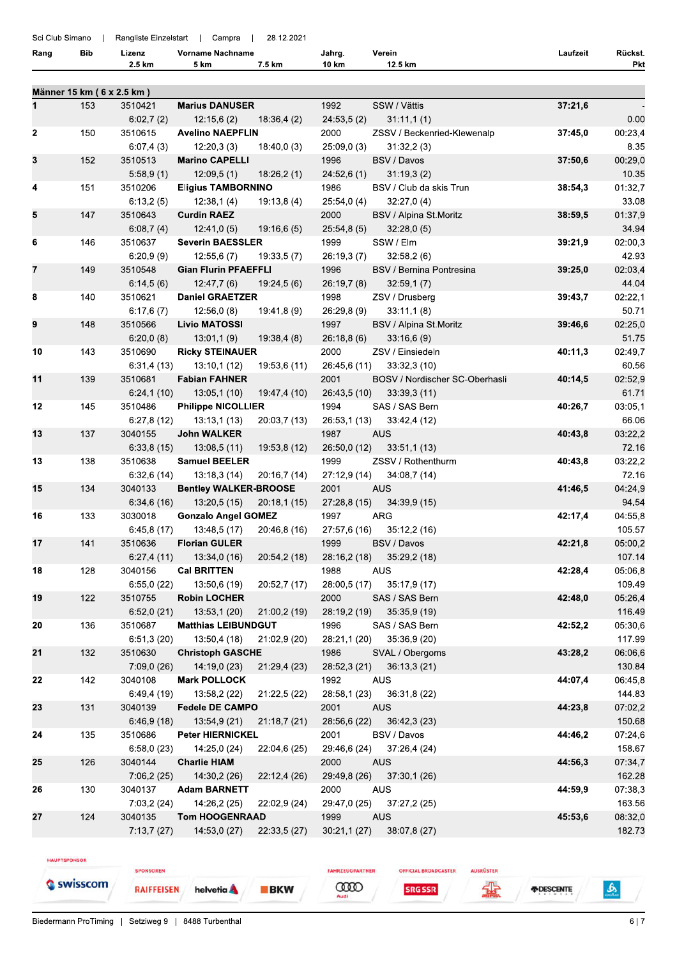Sci Club Simano | Rangliste Einzelstart | Campra | 28.12.2021

| '.5 km<br>. .<br>2.5 km<br>km<br>ร km<br>∣km | Pkt |
|----------------------------------------------|-----|

|    |     | Männer 15 km (6 x 2.5 km) |                                            |              |                      |                                |         |                   |
|----|-----|---------------------------|--------------------------------------------|--------------|----------------------|--------------------------------|---------|-------------------|
| 1  | 153 | 3510421                   | <b>Marius DANUSER</b>                      |              | 1992                 | SSW / Vättis                   | 37:21,6 |                   |
|    |     | 6:02,7(2)                 | 12:15,6(2)                                 | 18:36,4(2)   | 24:53,5(2)           | 31:11,1(1)                     |         | 0.00              |
| 2  | 150 | 3510615                   | <b>Avelino NAEPFLIN</b>                    |              | 2000                 | ZSSV / Beckenried-Klewenalp    | 37:45,0 | 00:23,4           |
|    |     | 6:07,4(3)                 | 12:20,3(3)                                 | 18:40,0(3)   | 25:09,0(3)           | 31:32,2(3)                     |         | 8.35              |
| 3  | 152 | 3510513                   | <b>Marino CAPELLI</b>                      |              | 1996                 | BSV / Davos                    | 37:50,6 | 00:29,0           |
|    |     | 5:58,9(1)                 | 12:09,5(1)                                 | 18:26,2(1)   | 24:52,6(1)           | 31:19,3(2)                     |         | 10.35             |
| 4  | 151 | 3510206                   | <b>Eligius TAMBORNINO</b>                  |              | 1986                 | BSV / Club da skis Trun        | 38:54,3 | 01:32,7           |
|    |     | 6:13,2(5)                 | 12:38,1(4)                                 | 19:13,8 (4)  | 25:54,0 (4)          | 32:27,0(4)                     |         | 33.08             |
| 5  | 147 | 3510643                   | <b>Curdin RAEZ</b>                         |              | 2000                 | BSV / Alpina St.Moritz         | 38:59,5 | 01:37,9           |
|    |     | 6:08,7(4)                 | 12:41,0(5)                                 | 19:16,6(5)   | 25:54,8(5)           | 32.28,0(5)                     |         | 34.94             |
| 6  | 146 | 3510637                   | <b>Severin BAESSLER</b>                    |              | 1999                 | SSW / Elm                      | 39:21,9 | 02:00,3           |
|    |     | 6:20,9(9)                 | 12:55,6(7)                                 | 19:33,5(7)   | 26:19,3(7)           | 32:58,2(6)                     |         | 42.93             |
| 7  | 149 | 3510548                   | <b>Gian Flurin PFAEFFLI</b>                |              | 1996                 | BSV / Bernina Pontresina       | 39:25,0 | 02:03,4           |
|    |     | 6:14,5(6)                 | 12:47,7(6)                                 | 19:24,5(6)   | 26:19,7(8)           | 32:59,1(7)                     |         | 44.04             |
| 8  | 140 | 3510621                   | <b>Daniel GRAETZER</b>                     |              | 1998                 | ZSV / Drusberg                 | 39:43,7 | 02:22,1           |
|    |     | 6:17,6(7)                 | 12:56,0(8)                                 | 19:41,8 (9)  | 26:29,8(9)           | 33:11,1(8)                     |         | 50.71             |
| 9  | 148 | 3510566                   | <b>Livio MATOSSI</b>                       |              | 1997                 | BSV / Alpina St.Moritz         | 39:46,6 | 02:25,0           |
|    |     | 6:20,0(8)                 | 13:01,1(9)                                 | 19:38,4(8)   | 26:18,8(6)           | 33:16,6(9)                     |         | 51.75             |
| 10 | 143 | 3510690                   | <b>Ricky STEINAUER</b>                     |              | 2000                 | ZSV / Einsiedeln               | 40:11,3 | 02:49,7           |
|    |     | 6:31,4(13)                | 13:10,1(12)                                | 19:53,6 (11) | 26:45,6 (11)         | 33:32,3 (10)                   |         | 60.56             |
| 11 | 139 | 3510681                   | <b>Fabian FAHNER</b>                       |              | 2001                 | BOSV / Nordischer SC-Oberhasli | 40:14,5 | 02:52,9           |
|    |     | 6:24,1(10)                | 13:05,1(10)                                | 19:47,4 (10) | 26:43,5 (10)         | 33:39,3(11)                    |         | 61.71             |
| 12 | 145 | 3510486                   | <b>Philippe NICOLLIER</b>                  |              | 1994                 | SAS / SAS Bern                 | 40:26,7 | 03:05,1           |
|    |     | 6:27,8(12)                | 13:13,1(13)                                | 20:03,7 (13) | 26:53,1 (13)         | 33:42,4 (12)                   |         | 66.06             |
| 13 | 137 | 3040155                   | <b>John WALKER</b>                         |              | 1987                 | <b>AUS</b>                     | 40:43,8 | 03:22,2           |
|    |     | 6:33,8(15)                | 13:08,5(11)                                | 19:53,8 (12) | 26:50,0 (12)         | 33:51,1(13)                    |         | 72.16             |
| 13 | 138 | 3510638                   | <b>Samuel BEELER</b>                       |              | 1999                 | ZSSV / Rothenthurm             | 40:43,8 | 03:22,2           |
|    |     | 6:32,6(14)                | 13:18,3(14)                                | 20:16,7(14)  | 27:12,9 (14)         | 34:08,7 (14)                   |         | 72.16             |
| 15 | 134 | 3040133                   | <b>Bentley WALKER-BROOSE</b>               |              | 2001                 | <b>AUS</b>                     | 41:46,5 | 04:24,9           |
|    |     | 6:34,6(16)                | 13:20,5 (15)                               | 20:18,1(15)  | 27:28,8 (15)         | 34:39,9 (15)                   |         | 94.54             |
| 16 | 133 | 3030018                   | <b>Gonzalo Angel GOMEZ</b>                 |              | 1997                 | ARG                            | 42:17,4 | 04:55,8           |
|    |     | 6:45,8(17)                | 13:48,5 (17)                               | 20:46,8 (16) | 27:57,6 (16)         | 35:12,2(16)                    |         | 105.57            |
| 17 | 141 | 3510636                   | <b>Florian GULER</b>                       |              | 1999                 | BSV / Davos                    | 42:21,8 | 05:00,2           |
|    |     | 6:27,4(11)                | 13:34,0 (16)                               | 20:54,2 (18) | 28:16,2 (18)         | 35:29,2 (18)                   |         | 107.14            |
| 18 | 128 | 3040156                   | <b>Cal BRITTEN</b>                         |              | 1988                 | <b>AUS</b>                     | 42:28,4 | 05:06,8           |
|    |     | 6:55,0(22)                | 13:50,6 (19)                               | 20:52,7 (17) | 28:00,5 (17)         | 35:17,9 (17)                   |         | 109.49            |
| 19 | 122 | 3510755                   | <b>Robin LOCHER</b>                        |              | 2000                 | SAS / SAS Bern                 | 42:48,0 | 05:26,4<br>116.49 |
| 20 | 136 | 6:52,0(21)<br>3510687     | 13:53,1 (20)<br><b>Matthias LEIBUNDGUT</b> | 21:00,2 (19) | 28:19,2 (19)<br>1996 | 35:35,9 (19)<br>SAS / SAS Bern | 42:52,2 |                   |
|    |     | 6:51,3(20)                | 13:50,4(18)                                | 21:02,9 (20) | 28:21,1 (20)         | 35:36,9 (20)                   |         | 05:30,6<br>117.99 |
| 21 | 132 | 3510630                   | <b>Christoph GASCHE</b>                    |              | 1986                 | SVAL / Obergoms                | 43:28,2 | 06:06,6           |
|    |     | 7:09,0(26)                | 14:19,0(23)                                | 21:29,4 (23) | 28:52,3 (21)         | 36:13,3(21)                    |         | 130.84            |
| 22 | 142 | 3040108                   | <b>Mark POLLOCK</b>                        |              | 1992                 | <b>AUS</b>                     | 44:07,4 | 06:45,8           |
|    |     | 6:49,4(19)                | 13:58,2 (22)                               | 21:22,5 (22) | 28:58,1 (23)         | 36:31,8 (22)                   |         | 144.83            |
| 23 | 131 | 3040139                   | <b>Fedele DE CAMPO</b>                     |              | 2001                 | <b>AUS</b>                     | 44:23,8 | 07:02,2           |
|    |     | 6:46,9(18)                | 13:54,9 (21)                               | 21:18,7 (21) | 28:56,6 (22)         | 36:42,3(23)                    |         | 150.68            |
| 24 | 135 | 3510686                   | <b>Peter HIERNICKEL</b>                    |              | 2001                 | BSV / Davos                    | 44:46,2 | 07:24,6           |
|    |     | 6:58,0(23)                | 14:25,0 (24)                               | 22:04,6 (25) | 29:46,6 (24)         | 37:26,4 (24)                   |         | 158.67            |
| 25 | 126 | 3040144                   | <b>Charlie HIAM</b>                        |              | 2000                 | <b>AUS</b>                     | 44:56,3 | 07:34,7           |
|    |     | 7:06,2(25)                | 14:30,2 (26)                               | 22:12,4 (26) | 29:49,8 (26)         | 37:30,1(26)                    |         | 162.28            |
| 26 | 130 | 3040137                   | <b>Adam BARNETT</b>                        |              | 2000                 | <b>AUS</b>                     | 44:59,9 | 07:38,3           |
|    |     | 7:03,2(24)                | 14:26,2 (25)                               | 22:02,9 (24) | 29:47,0 (25)         | 37:27,2 (25)                   |         | 163.56            |
| 27 | 124 | 3040135                   | <b>Tom HOOGENRAAD</b>                      |              | 1999                 | <b>AUS</b>                     | 45:53,6 | 08:32,0           |
|    |     | 7:13,7(27)                | 14:53,0 (27)                               | 22:33,5 (27) | 30:21,1(27)          | 38:07,8 (27)                   |         | 182.73            |
|    |     |                           |                                            |              |                      |                                |         |                   |

HAUPTSPONSOR

Swisscom

**RAIFFEISEN** helvetia A **COOD SRG SSR** 

**OFFICIAL BROADCASTER** 

FAHRZEUGPARTNER

**BKW** 

AUSRÜSTER 霖

*FIDESCENTE* 

SPONSOREN

 $\frac{6}{200}$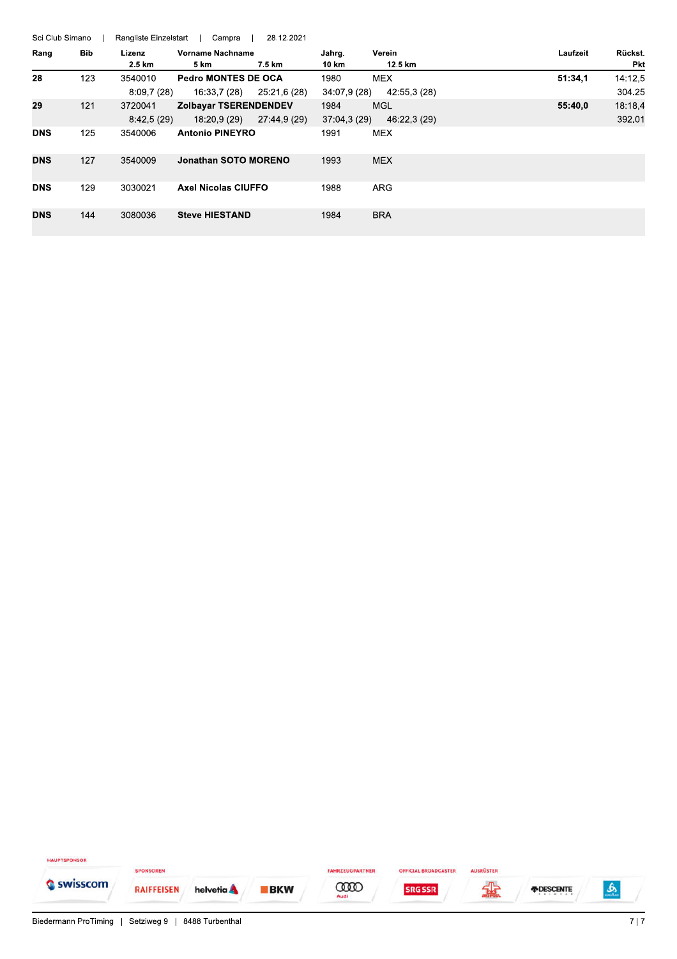| Sci Club Simano |            | Rangliste Einzelstart | Campra                                       | 28.12.2021   |                      |                            |          |                       |
|-----------------|------------|-----------------------|----------------------------------------------|--------------|----------------------|----------------------------|----------|-----------------------|
| Rang            | <b>Bib</b> | Lizenz<br>2.5 km      | Vorname Nachname<br>5 km                     | 7.5 km       | Jahrg.<br>10 km      | Verein<br>12.5 km          | Laufzeit | Rückst.<br><b>Pkt</b> |
| 28              | 123        | 3540010<br>8:09,7(28) | <b>Pedro MONTES DE OCA</b><br>16:33,7 (28)   | 25:21,6 (28) | 1980<br>34:07,9 (28) | <b>MEX</b><br>42:55,3 (28) | 51:34.1  | 14:12,5<br>304.25     |
| 29              | 121        | 3720041<br>8:42,5(29) | <b>Zolbavar TSERENDENDEV</b><br>18:20.9 (29) | 27:44,9 (29) | 1984<br>37:04,3 (29) | <b>MGL</b><br>46:22,3 (29) | 55:40,0  | 18:18,4<br>392.01     |
| <b>DNS</b>      | 125        | 3540006               | <b>Antonio PINEYRO</b>                       |              | 1991                 | <b>MEX</b>                 |          |                       |
| <b>DNS</b>      | 127        | 3540009               | Jonathan SOTO MORENO                         |              | 1993                 | <b>MEX</b>                 |          |                       |
| <b>DNS</b>      | 129        | 3030021               | <b>Axel Nicolas CIUFFO</b>                   |              | 1988                 | <b>ARG</b>                 |          |                       |
| <b>DNS</b>      | 144        | 3080036               | <b>Steve HIESTAND</b>                        |              | 1984                 | <b>BRA</b>                 |          |                       |

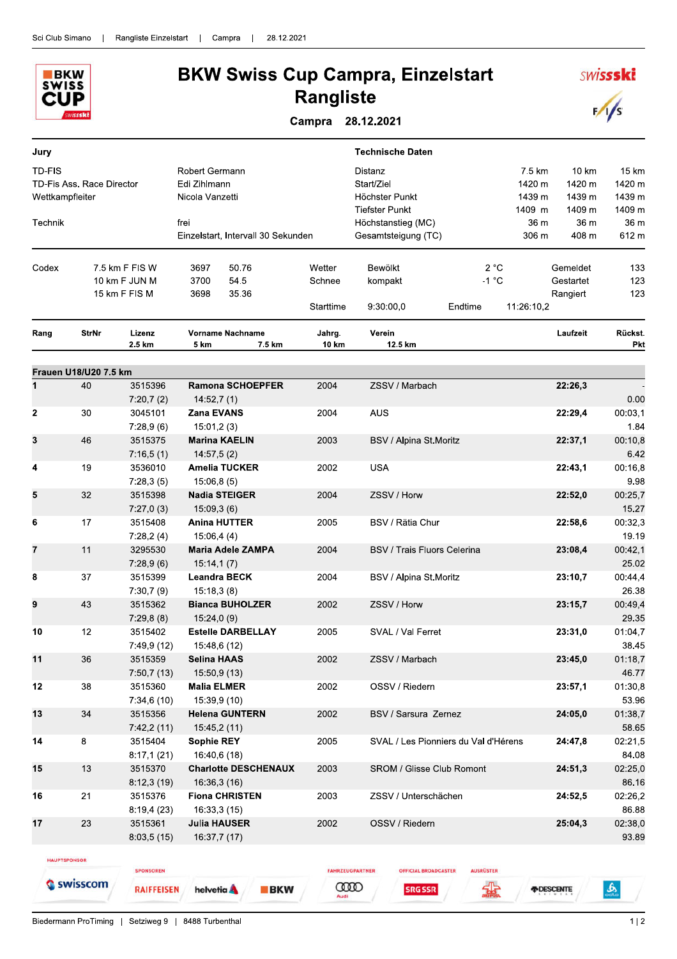

## **BKW Swiss Cup Campra, Einzelstart Rangliste**

Campra 28.12.2021

| Jury                             |                           |                       |                                                   |                 | <b>Technische Daten</b>                                                 |                  |                                      |                                     |                                     |
|----------------------------------|---------------------------|-----------------------|---------------------------------------------------|-----------------|-------------------------------------------------------------------------|------------------|--------------------------------------|-------------------------------------|-------------------------------------|
| <b>TD-FIS</b><br>Wettkampfleiter | TD-Fis Ass. Race Director |                       | Robert Germann<br>Edi Zihlmann<br>Nicola Vanzetti |                 | <b>Distanz</b><br>Start/Ziel<br>Höchster Punkt<br><b>Tiefster Punkt</b> |                  | 7.5 km<br>1420 m<br>1439 m<br>1409 m | 10 km<br>1420 m<br>1439 m<br>1409 m | 15 km<br>1420 m<br>1439 m<br>1409 m |
| Technik                          |                           |                       | frei<br>Einzelstart, Intervall 30 Sekunden        |                 | Höchstanstieg (MC)<br>Gesamtsteigung (TC)                               |                  | 36 m<br>306 m                        | 36 m<br>408 m                       | 36 m<br>612 m                       |
| Codex                            |                           | 7.5 km F FIS W        | 50.76<br>3697                                     | Wetter          | Bewölkt                                                                 | 2 °C             |                                      | Gemeldet                            | 133                                 |
|                                  |                           | 10 km F JUN M         | 3700<br>54.5                                      | Schnee          | kompakt                                                                 | $-1$ °C          |                                      | Gestartet                           | 123                                 |
|                                  |                           | 15 km F FIS M         | 35.36<br>3698                                     | Starttime       | 9:30:00,0                                                               | Endtime          | 11:26:10,2                           | Rangiert                            | 123                                 |
| Rang                             | StrNr                     | Lizenz<br>2.5 km      | <b>Vorname Nachname</b><br>5 km<br>7.5 km         | Jahrg.<br>10 km | Verein<br>12.5 km                                                       |                  |                                      | Laufzeit                            | Rückst.<br>Pkt                      |
|                                  | Frauen U18/U20 7.5 km     |                       |                                                   |                 |                                                                         |                  |                                      |                                     |                                     |
| $\mathbf{1}$                     | 40                        | 3515396<br>7:20,7(2)  | Ramona SCHOEPFER<br>14:52,7(1)                    | 2004            | ZSSV / Marbach                                                          |                  |                                      | 22:26,3                             | 0.00                                |
| $\mathbf 2$                      | 30                        | 3045101               | Zana EVANS                                        | 2004            | AUS                                                                     |                  |                                      | 22:29,4                             | 00:03,1                             |
|                                  |                           | 7:28,9(6)             | 15:01,2(3)                                        |                 |                                                                         |                  |                                      |                                     | 1.84                                |
| 3                                | 46                        | 3515375<br>7:16,5(1)  | Marina KAELIN<br>14:57,5(2)                       | 2003            | BSV / Alpina St.Moritz                                                  |                  |                                      | 22:37,1                             | 00:10,8<br>6.42                     |
| 4                                | 19                        | 3536010               | <b>Amelia TUCKER</b>                              | 2002            | <b>USA</b>                                                              |                  |                                      | 22:43,1                             | 00:16,8                             |
| 5                                | 32                        | 7:28,3(5)<br>3515398  | 15:06,8(5)<br><b>Nadia STEIGER</b>                | 2004            | ZSSV / Horw                                                             |                  |                                      | 22:52,0                             | 9.98<br>00:25,7                     |
|                                  |                           | 7:27,0(3)             | 15:09,3(6)                                        |                 |                                                                         |                  |                                      |                                     | 15.27                               |
| 6                                | 17                        | 3515408               | <b>Anina HUTTER</b>                               | 2005            | BSV / Rätia Chur                                                        |                  |                                      | 22:58,6                             | 00:32,3                             |
| $\overline{7}$                   | 11                        | 7:28,2(4)<br>3295530  | 15:06,4(4)<br>Maria Adele ZAMPA                   | 2004            | <b>BSV / Trais Fluors Celerina</b>                                      |                  |                                      | 23:08,4                             | 19.19<br>00:42,1                    |
|                                  |                           | 7:28,9(6)             | 15:14,1(7)                                        |                 |                                                                         |                  |                                      |                                     | 25.02                               |
| 8                                | 37                        | 3515399               | <b>Leandra BECK</b>                               | 2004            | BSV / Alpina St.Moritz                                                  |                  |                                      | 23:10,7                             | 00:44,4                             |
|                                  |                           | 7:30,7(9)             | 15:18,3(8)                                        |                 |                                                                         |                  |                                      |                                     | 26.38                               |
| 9                                | 43                        | 3515362<br>7:29,8(8)  | <b>Bianca BUHOLZER</b><br>15:24,0(9)              | 2002            | ZSSV / Horw                                                             |                  |                                      | 23:15,7                             | 00:49,4<br>29.35                    |
| 10                               | 12                        | 3515402               | <b>Estelle DARBELLAY</b>                          | 2005            | SVAL / Val Ferret                                                       |                  |                                      | 23:31,0                             | 01:04,7                             |
|                                  |                           | 7:49,9 (12)           | 15:48,6 (12)                                      |                 |                                                                         |                  |                                      |                                     | 38.45                               |
| 11                               | 36                        | 3515359               | <b>Selina HAAS</b>                                | 2002            | ZSSV / Marbach                                                          |                  |                                      | 23:45,0                             | 01:18,7                             |
|                                  |                           | 7:50,7(13)            | 15:50,9 (13)                                      |                 |                                                                         |                  |                                      |                                     | 46.77                               |
| 12                               | 38                        | 3515360<br>7:34,6(10) | <b>Malia ELMER</b><br>15:39,9 (10)                | 2002            | OSSV / Riedern                                                          |                  |                                      | 23:57,1                             | 01:30,8<br>53.96                    |
| 13                               | 34                        | 3515356<br>7:42,2(11) | <b>Helena GUNTERN</b><br>15:45,2 (11)             | 2002            | <b>BSV / Sarsura Zernez</b>                                             |                  |                                      | 24:05,0                             | 01:38,7<br>58.65                    |
| 14                               | 8                         | 3515404<br>8:17,1(21) | <b>Sophie REY</b><br>16:40,6 (18)                 | 2005            | SVAL / Les Pionniers du Val d'Hérens                                    |                  |                                      | 24:47,8                             | 02:21,5<br>84.08                    |
| 15                               | 13                        | 3515370               | <b>Charlotte DESCHENAUX</b>                       | 2003            | <b>SROM / Glisse Club Romont</b>                                        |                  |                                      | 24:51,3                             | 02:25,0                             |
| 16                               | 21                        | 8:12,3(19)<br>3515376 | 16:36,3 (16)<br><b>Fiona CHRISTEN</b>             | 2003            | ZSSV / Unterschächen                                                    |                  |                                      | 24:52,5                             | 86.16<br>02:26,2                    |
|                                  |                           | 8:19,4(23)            | 16:33,3 (15)                                      |                 |                                                                         |                  |                                      |                                     | 86.88                               |
| 17                               | 23                        | 3515361               | Julia HAUSER                                      | 2002            | OSSV / Riedern                                                          |                  |                                      | 25:04,3                             | 02:38,0                             |
|                                  |                           | 8:03,5(15)            | 16:37,7 (17)                                      |                 |                                                                         |                  |                                      |                                     | 93.89                               |
|                                  | <b>HAUPTSPONSOR</b>       |                       |                                                   |                 |                                                                         |                  |                                      |                                     |                                     |
|                                  |                           | <b>SPONSOREN</b>      |                                                   |                 | <b>FAHRZEUGPARTNER</b><br><b>OFFICIAL BROADCASTER</b>                   | <b>AUSRÜSTER</b> |                                      |                                     |                                     |
|                                  | Swisscom                  | <b>RAIFFEISEN</b>     | helvetia <b>A</b><br><b>BKW</b>                   | <b>COOD</b>     | <b>SRG SSR</b>                                                          | ≮∯               | <b><i>FIDESCENTE</i></b>             |                                     | $\mathbf{B}$                        |

**SRG SSR** 

金

Biedermann ProTiming | Setziweg 9 | 8488 Turbenthal

த

**SWISSSKI** 

 $\sqrt{s}$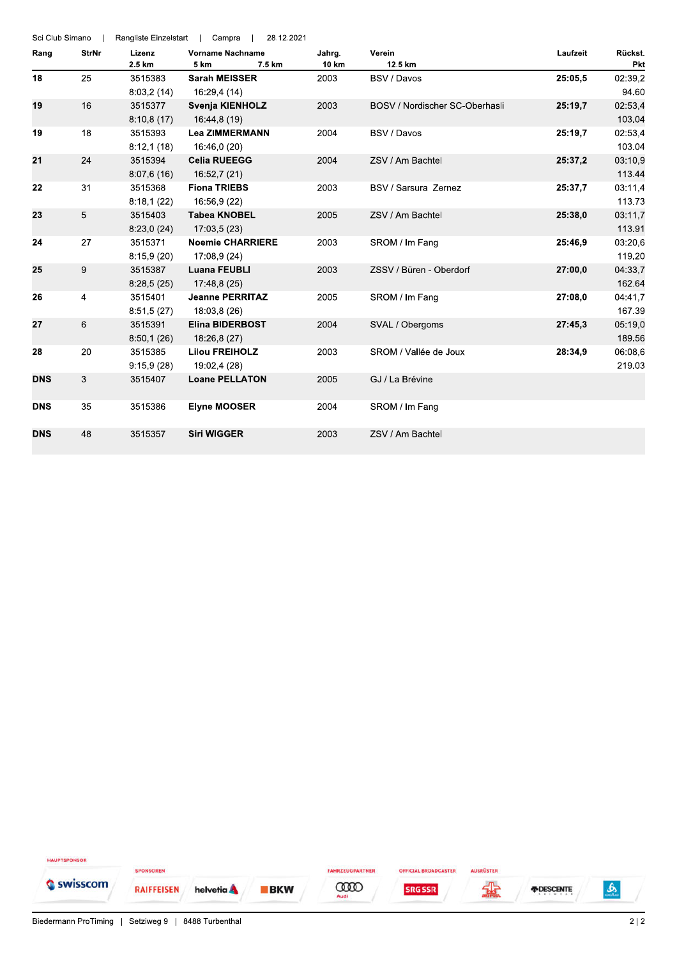| Sci Club Simano |              | Rangliste Einzelstart | 28.12.2021<br>Campra                   |               |                                |          |                |
|-----------------|--------------|-----------------------|----------------------------------------|---------------|--------------------------------|----------|----------------|
| Rang            | <b>StrNr</b> | Lizenz                | <b>Vorname Nachname</b>                | Jahrg.        | Verein<br>12.5 km              | Laufzeit | Rückst.        |
| 18              | 25           | 2.5 km<br>3515383     | 7.5 km<br>5 km<br><b>Sarah MEISSER</b> | 10 km<br>2003 | <b>BSV / Davos</b>             | 25:05,5  | Pkt<br>02:39,2 |
|                 |              | 8:03,2(14)            | 16:29.4 (14)                           |               |                                |          | 94.60          |
| 19              | 16           | 3515377               | Svenja KIENHOLZ                        | 2003          | BOSV / Nordischer SC-Oberhasli | 25:19,7  | 02:53,4        |
|                 |              | 8:10,8(17)            | 16:44,8 (19)                           |               |                                |          | 103.04         |
| 19              | 18           | 3515393               | <b>Lea ZIMMERMANN</b>                  | 2004          | BSV / Davos                    | 25:19,7  | 02:53,4        |
|                 |              |                       | 16:46.0 (20)                           |               |                                |          | 103.04         |
| 21              |              | 8:12,1(18)            | <b>Celia RUEEGG</b>                    |               | ZSV / Am Bachtel               |          |                |
|                 | 24           | 3515394               |                                        | 2004          |                                | 25:37,2  | 03:10,9        |
|                 |              | 8:07,6(16)            | 16:52,7 (21)                           |               |                                |          | 113.44         |
| 22              | 31           | 3515368               | <b>Fiona TRIEBS</b>                    | 2003          | BSV / Sarsura Zernez           | 25:37,7  | 03:11,4        |
|                 |              | 8:18,1(22)            | 16:56,9 (22)                           |               |                                |          | 113.73         |
| 23              | 5            | 3515403               | <b>Tabea KNOBEL</b>                    | 2005          | ZSV / Am Bachtel               | 25:38,0  | 03:11,7        |
|                 |              | 8:23,0(24)            | 17:03,5(23)                            |               |                                |          | 113.91         |
| 24              | 27           | 3515371               | <b>Noemie CHARRIERE</b>                | 2003          | SROM / Im Fang                 | 25:46.9  | 03:20,6        |
|                 |              | 8:15.9(20)            | 17:08,9 (24)                           |               |                                |          | 119.20         |
| 25              | 9            | 3515387               | <b>Luana FEUBLI</b>                    | 2003          | ZSSV / Büren - Oberdorf        | 27:00,0  | 04:33,7        |
|                 |              | 8:28,5(25)            | 17:48,8 (25)                           |               |                                |          | 162.64         |
| 26              | 4            | 3515401               | <b>Jeanne PERRITAZ</b>                 | 2005          | SROM / Im Fang                 | 27:08.0  | 04:41,7        |
|                 |              | 8:51,5(27)            | 18:03,8 (26)                           |               |                                |          | 167.39         |
| 27              | 6            | 3515391               | <b>Elina BIDERBOST</b>                 | 2004          | SVAL / Obergoms                | 27:45.3  | 05:19,0        |
|                 |              | 8:50,1(26)            | 18:26,8 (27)                           |               |                                |          | 189.56         |
| 28              | 20           | 3515385               | <b>Lilou FREIHOLZ</b>                  | 2003          | SROM / Vallée de Joux          | 28:34.9  | 06:08,6        |
|                 |              | 9:15,9(28)            | 19:02,4 (28)                           |               |                                |          | 219.03         |
| <b>DNS</b>      | 3            | 3515407               | <b>Loane PELLATON</b>                  | 2005          | GJ / La Brévine                |          |                |
| <b>DNS</b>      | 35           | 3515386               | <b>Elyne MOOSER</b>                    | 2004          | SROM / Im Fang                 |          |                |
|                 |              |                       |                                        |               |                                |          |                |
| <b>DNS</b>      | 48           | 3515357               | <b>Siri WIGGER</b>                     | 2003          | ZSV / Am Bachtel               |          |                |

HAUPTSPONSOR SPONSOREN FAHRZEUGPARTNER **OFFICIAL BROADCASTER** AUSRÜSTER Swisscom 霖  $\frac{1}{2}$ **COOD RAIFFEISEN BKW SRG SSR** *FDESCENTE* helvetia A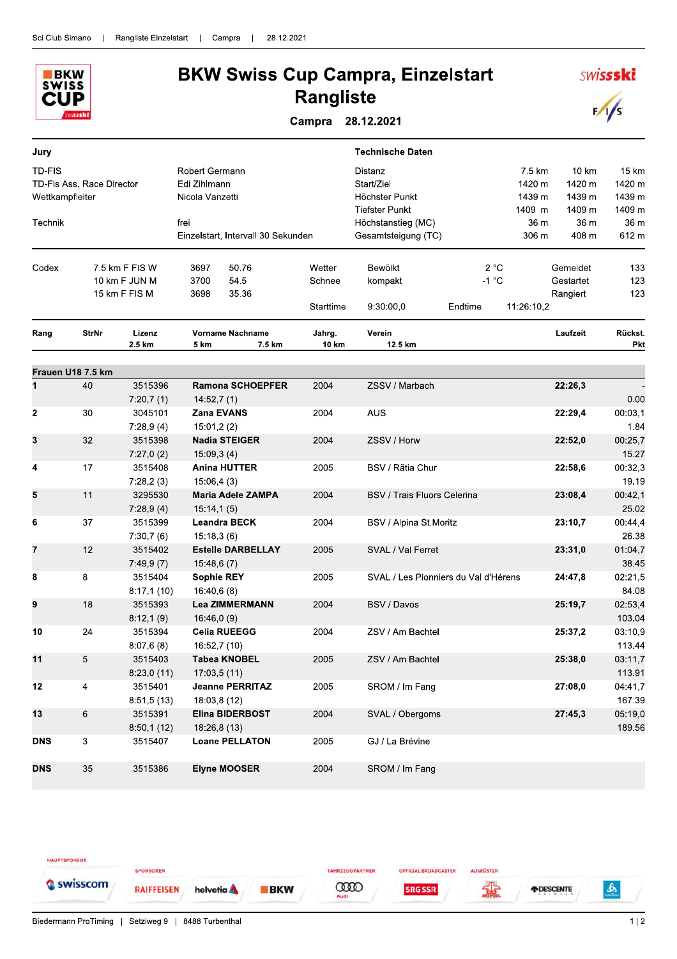

## **BKW Swiss Cup Campra, Einzelstart Rangliste**

Campra 28.12.2021

| Jury            |                           |                |                   |                                    |           | <b>Technische Daten</b>              |         |            |           |         |
|-----------------|---------------------------|----------------|-------------------|------------------------------------|-----------|--------------------------------------|---------|------------|-----------|---------|
| <b>TD-FIS</b>   |                           |                | Robert Germann    |                                    |           | Distanz                              |         | 7.5 km     | 10 km     | 15 km   |
|                 | TD-Fis Ass. Race Director |                | Edi Zihlmann      |                                    |           | Start/Ziel                           |         | 1420 m     | 1420 m    | 1420 m  |
| Wettkampfleiter |                           |                | Nicola Vanzetti   |                                    |           | Höchster Punkt                       |         | 1439 m     | 1439 m    | 1439 m  |
|                 |                           |                |                   |                                    |           | <b>Tiefster Punkt</b>                |         | 1409 m     | 1409 m    | 1409 m  |
| Technik         |                           |                | frei              |                                    |           | Höchstanstieg (MC)                   |         | 36 m       | 36 m      | 36 m    |
|                 |                           |                |                   | Einzelstart, Intervall 30 Sekunden |           | Gesamtsteigung (TC)                  |         | 306 m      | 408 m     | 612 m   |
| Codex           |                           | 7.5 km F FIS W | 3697              | 50.76                              | Wetter    | Bewölkt                              |         | 2 °C       | Gemeldet  | 133     |
|                 |                           | 10 km F JUN M  | 3700              | 54.5                               | Schnee    | kompakt                              | $-1 °C$ |            | Gestartet | 123     |
|                 |                           | 15 km F FIS M  | 3698              | 35.36                              |           |                                      |         |            | Rangiert  | 123     |
|                 |                           |                |                   |                                    | Starttime | 9:30:00,0                            | Endtime | 11:26:10,2 |           |         |
| Rang            | <b>StrNr</b>              | Lizenz         |                   | <b>Vorname Nachname</b>            | Jahrg.    | Verein                               |         |            | Laufzeit  | Rückst. |
|                 |                           | 2.5 km         | 5 km              | 7.5 km                             | 10 km     | 12.5 km                              |         |            |           | Pkt     |
|                 | Frauen U18 7.5 km         |                |                   |                                    |           |                                      |         |            |           |         |
| 1               | 40                        | 3515396        |                   | <b>Ramona SCHOEPFER</b>            | 2004      | ZSSV / Marbach                       |         |            | 22:26,3   |         |
|                 |                           | 7:20,7(1)      | 14:52,7(1)        |                                    |           |                                      |         |            |           | 0.00    |
| $\mathbf{2}$    | 30                        | 3045101        |                   | <b>Zana EVANS</b>                  | 2004      | <b>AUS</b>                           |         |            | 22:29,4   | 00:03,1 |
|                 |                           | 7:28,9(4)      | 15:01,2(2)        |                                    |           |                                      |         |            |           | 1.84    |
| 3               | 32                        | 3515398        |                   | <b>Nadia STEIGER</b>               | 2004      | ZSSV / Horw                          |         |            | 22:52,0   | 00:25,7 |
|                 |                           | 7:27,0(2)      | 15:09.3(4)        |                                    |           |                                      |         |            |           | 15.27   |
| 4               | 17                        | 3515408        |                   | <b>Anina HUTTER</b>                | 2005      | BSV / Rätia Chur                     |         |            | 22:58,6   | 00:32,3 |
|                 |                           | 7:28,2(3)      | 15:06,4(3)        |                                    |           |                                      |         |            |           | 19.19   |
| 5               | 11                        | 3295530        |                   | <b>Maria Adele ZAMPA</b>           | 2004      | BSV / Trais Fluors Celerina          |         |            | 23:08,4   | 00:42,1 |
|                 |                           | 7:28,9(4)      | 15:14,1(5)        |                                    |           |                                      |         |            |           | 25.02   |
| 6               | 37                        | 3515399        |                   | <b>Leandra BECK</b>                | 2004      | BSV / Alpina St.Moritz               |         |            | 23:10,7   | 00:44,4 |
|                 |                           | 7:30,7(6)      | 15:18,3(6)        |                                    |           |                                      |         |            |           | 26.38   |
| 7               | 12                        | 3515402        |                   | <b>Estelle DARBELLAY</b>           | 2005      | SVAL / Val Ferret                    |         |            | 23:31,0   | 01:04,7 |
|                 |                           | 7:49,9(7)      | 15:48,6(7)        |                                    |           |                                      |         |            |           | 38.45   |
| 8               | 8                         | 3515404        | <b>Sophie REY</b> |                                    | 2005      | SVAL / Les Pionniers du Val d'Hérens |         |            | 24:47,8   | 02:21,5 |
|                 |                           | 8:17,1(10)     | 16:40.6(8)        |                                    |           |                                      |         |            |           | 84.08   |
| 9               | 18                        | 3515393        |                   | <b>Lea ZIMMERMANN</b>              | 2004      | BSV / Davos                          |         |            | 25:19,7   | 02:53,4 |
|                 |                           | 8:12,1(9)      | 16:46,0(9)        |                                    |           |                                      |         |            |           | 103.04  |
| 10              | 24                        | 3515394        |                   | <b>Celia RUEEGG</b>                | 2004      | ZSV / Am Bachtel                     |         |            | 25:37,2   | 03:10.9 |
|                 |                           | 8:07,6(8)      | 16:52,7 (10)      |                                    |           |                                      |         |            |           | 113.44  |
| 11              | 5                         | 3515403        |                   | <b>Tabea KNOBEL</b>                | 2005      | ZSV / Am Bachtel                     |         |            | 25:38,0   | 03:11,7 |
|                 |                           | 8:23,0(11)     | 17:03,5(11)       |                                    |           |                                      |         |            |           | 113.91  |
| 12              | 4                         | 3515401        |                   | <b>Jeanne PERRITAZ</b>             | 2005      | SROM / Im Fang                       |         |            | 27:08,0   | 04:41,7 |
|                 |                           | 8:51,5(13)     |                   | 18:03,8 (12)                       |           |                                      |         |            |           | 167.39  |
| 13              | $6\phantom{1}$            | 3515391        |                   | <b>Elina BIDERBOST</b>             | 2004      | SVAL / Obergoms                      |         |            | 27:45,3   | 05:19,0 |
|                 |                           | 8:50,1(12)     |                   | 18:26,8 (13)                       |           |                                      |         |            |           | 189.56  |
| <b>DNS</b>      | 3                         | 3515407        |                   | <b>Loane PELLATON</b>              | 2005      | GJ / La Brévine                      |         |            |           |         |
| <b>DNS</b>      | 35                        | 3515386        |                   | <b>Elyne MOOSER</b>                | 2004      | SROM / Im Fang                       |         |            |           |         |

HAUPTSPONSOR SPONSOREN FAHRZEUGPARTNER **OFFICIAL BROADCASTER** AUSRÜSTER Swisscom 霖 **CODO**  $\mathbf{a}$ **RAIFFEISEN** helvetia **A BKW SRG SSR** *FIDESCENTE* 

**SWISSSKI** 

 $\sqrt{s}$